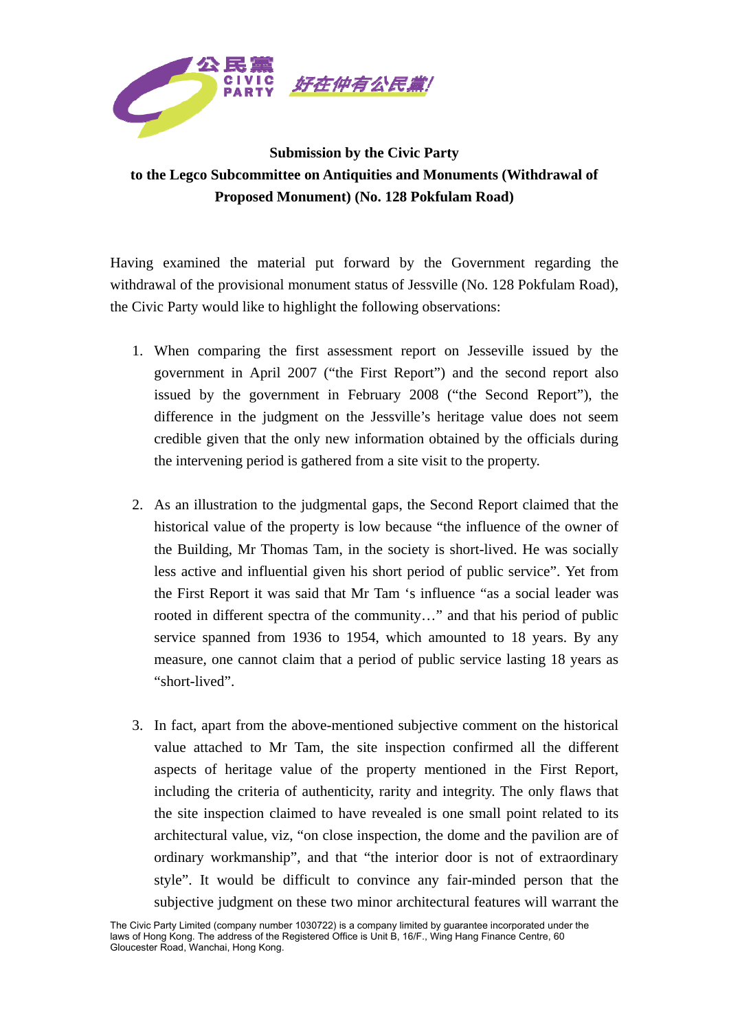

## **Submission by the Civic Party to the Legco Subcommittee on Antiquities and Monuments (Withdrawal of Proposed Monument) (No. 128 Pokfulam Road)**

Having examined the material put forward by the Government regarding the withdrawal of the provisional monument status of Jessville (No. 128 Pokfulam Road), the Civic Party would like to highlight the following observations:

- 1. When comparing the first assessment report on Jesseville issued by the government in April 2007 ("the First Report") and the second report also issued by the government in February 2008 ("the Second Report"), the difference in the judgment on the Jessville's heritage value does not seem credible given that the only new information obtained by the officials during the intervening period is gathered from a site visit to the property.
- 2. As an illustration to the judgmental gaps, the Second Report claimed that the historical value of the property is low because "the influence of the owner of the Building, Mr Thomas Tam, in the society is short-lived. He was socially less active and influential given his short period of public service". Yet from the First Report it was said that Mr Tam 's influence "as a social leader was rooted in different spectra of the community…" and that his period of public service spanned from 1936 to 1954, which amounted to 18 years. By any measure, one cannot claim that a period of public service lasting 18 years as "short-lived".
- 3. In fact, apart from the above-mentioned subjective comment on the historical value attached to Mr Tam, the site inspection confirmed all the different aspects of heritage value of the property mentioned in the First Report, including the criteria of authenticity, rarity and integrity. The only flaws that the site inspection claimed to have revealed is one small point related to its architectural value, viz, "on close inspection, the dome and the pavilion are of ordinary workmanship", and that "the interior door is not of extraordinary style". It would be difficult to convince any fair-minded person that the subjective judgment on these two minor architectural features will warrant the

The Civic Party Limited (company number 1030722) is a company limited by guarantee incorporated under the laws of Hong Kong. The address of the Registered Office is Unit B, 16/F., Wing Hang Finance Centre, 60 Gloucester Road, Wanchai, Hong Kong.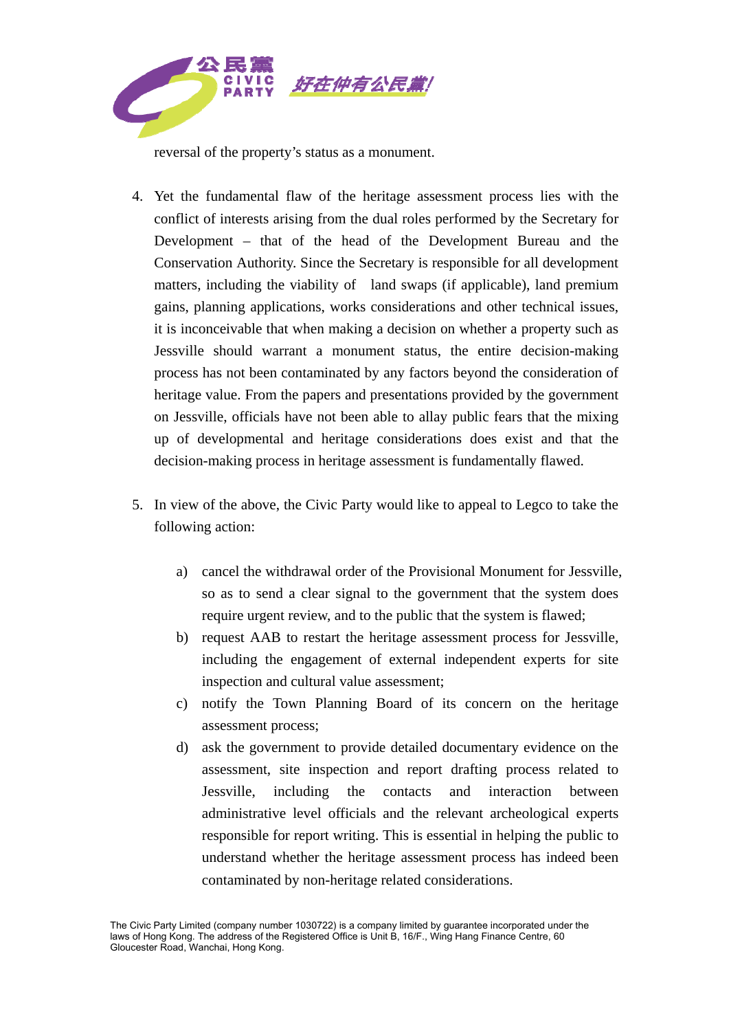

reversal of the property's status as a monument.

- 4. Yet the fundamental flaw of the heritage assessment process lies with the conflict of interests arising from the dual roles performed by the Secretary for Development – that of the head of the Development Bureau and the Conservation Authority. Since the Secretary is responsible for all development matters, including the viability of land swaps (if applicable), land premium gains, planning applications, works considerations and other technical issues, it is inconceivable that when making a decision on whether a property such as Jessville should warrant a monument status, the entire decision-making process has not been contaminated by any factors beyond the consideration of heritage value. From the papers and presentations provided by the government on Jessville, officials have not been able to allay public fears that the mixing up of developmental and heritage considerations does exist and that the decision-making process in heritage assessment is fundamentally flawed.
- 5. In view of the above, the Civic Party would like to appeal to Legco to take the following action:
	- a) cancel the withdrawal order of the Provisional Monument for Jessville, so as to send a clear signal to the government that the system does require urgent review, and to the public that the system is flawed;
	- b) request AAB to restart the heritage assessment process for Jessville, including the engagement of external independent experts for site inspection and cultural value assessment;
	- c) notify the Town Planning Board of its concern on the heritage assessment process;
	- d) ask the government to provide detailed documentary evidence on the assessment, site inspection and report drafting process related to Jessville, including the contacts and interaction between administrative level officials and the relevant archeological experts responsible for report writing. This is essential in helping the public to understand whether the heritage assessment process has indeed been contaminated by non-heritage related considerations.